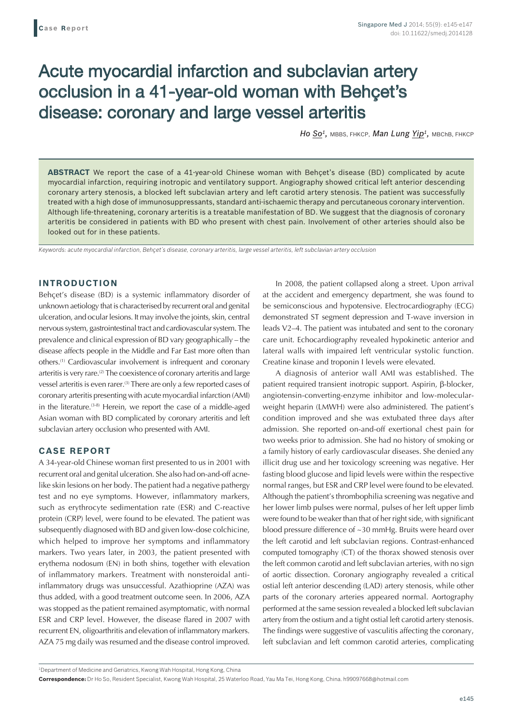# Acute myocardial infarction and subclavian artery occlusion in a 41-year-old woman with Behçet's disease: coronary and large vessel arteritis

Ho So<sup>1</sup>, MBBS, FHKCP, Man Lung Yip<sup>1</sup>, MBChB, FHKCP

**ABSTRACT** We report the case of a 41-year-old Chinese woman with Behçet's disease (BD) complicated by acute myocardial infarction, requiring inotropic and ventilatory support. Angiography showed critical left anterior descending coronary artery stenosis, a blocked left subclavian artery and left carotid artery stenosis. The patient was successfully treated with a high dose of immunosuppressants, standard anti-ischaemic therapy and percutaneous coronary intervention. Although life-threatening, coronary arteritis is a treatable manifestation of BD. We suggest that the diagnosis of coronary arteritis be considered in patients with BD who present with chest pain. Involvement of other arteries should also be looked out for in these patients.

*Keywords: acute myocardial infarction, Behçet's disease, coronary arteritis, large vessel arteritis, left subclavian artery occlusion*

## **INTRODUCTION**

Behçet's disease (BD) is a systemic inflammatory disorder of unknown aetiology that is characterised by recurrent oral and genital ulceration, and ocular lesions. It may involve the joints, skin, central nervous system, gastrointestinal tract and cardiovascular system. The prevalence and clinical expression of BD vary geographically – the disease affects people in the Middle and Far East more often than others.(1) Cardiovascular involvement is infrequent and coronary arteritis is very rare.(2) The coexistence of coronary arteritis and large vessel arteritis is even rarer.<sup>(3)</sup> There are only a few reported cases of coronary arteritis presenting with acute myocardial infarction (AMI) in the literature.<sup>(3-8)</sup> Herein, we report the case of a middle-aged Asian woman with BD complicated by coronary arteritis and left subclavian artery occlusion who presented with AMI.

### **CASE REPORT**

A 34-year-old Chinese woman first presented to us in 2001 with recurrent oral and genital ulceration. She also had on-and-off acnelike skin lesions on her body. The patient had a negative pathergy test and no eye symptoms. However, inflammatory markers, such as erythrocyte sedimentation rate (ESR) and C-reactive protein (CRP) level, were found to be elevated. The patient was subsequently diagnosed with BD and given low-dose colchicine, which helped to improve her symptoms and inflammatory markers. Two years later, in 2003, the patient presented with erythema nodosum (EN) in both shins, together with elevation of inflammatory markers. Treatment with nonsteroidal antiinflammatory drugs was unsuccessful. Azathioprine (AZA) was thus added, with a good treatment outcome seen. In 2006, AZA was stopped as the patient remained asymptomatic, with normal ESR and CRP level. However, the disease flared in 2007 with recurrent EN, oligoarthritis and elevation of inflammatory markers. AZA 75 mg daily was resumed and the disease control improved.

In 2008, the patient collapsed along a street. Upon arrival at the accident and emergency department, she was found to be semiconscious and hypotensive. Electrocardiography (ECG) demonstrated ST segment depression and T-wave inversion in leads V2–4. The patient was intubated and sent to the coronary care unit. Echocardiography revealed hypokinetic anterior and lateral walls with impaired left ventricular systolic function. Creatine kinase and troponin I levels were elevated.

A diagnosis of anterior wall AMI was established. The patient required transient inotropic support. Aspirin, β-blocker, angiotensin-converting-enzyme inhibitor and low-molecularweight heparin (LMWH) were also administered. The patient's condition improved and she was extubated three days after admission. She reported on-and-off exertional chest pain for two weeks prior to admission. She had no history of smoking or a family history of early cardiovascular diseases. She denied any illicit drug use and her toxicology screening was negative. Her fasting blood glucose and lipid levels were within the respective normal ranges, but ESR and CRP level were found to be elevated. Although the patient's thrombophilia screening was negative and her lower limb pulses were normal, pulses of her left upper limb were found to be weaker than that of her right side, with significant blood pressure difference of ~30 mmHg. Bruits were heard over the left carotid and left subclavian regions. Contrast-enhanced computed tomography (CT) of the thorax showed stenosis over the left common carotid and left subclavian arteries, with no sign of aortic dissection. Coronary angiography revealed a critical ostial left anterior descending (LAD) artery stenosis, while other parts of the coronary arteries appeared normal. Aortography performed at the same session revealed a blocked left subclavian artery from the ostium and a tight ostial left carotid artery stenosis. The findings were suggestive of vasculitis affecting the coronary, left subclavian and left common carotid arteries, complicating

1 Department of Medicine and Geriatrics, Kwong Wah Hospital, Hong Kong, China

**Correspondence:** Dr Ho So, Resident Specialist, Kwong Wah Hospital, 25 Waterloo Road, Yau Ma Tei, Hong Kong, China. h99097668@hotmail.com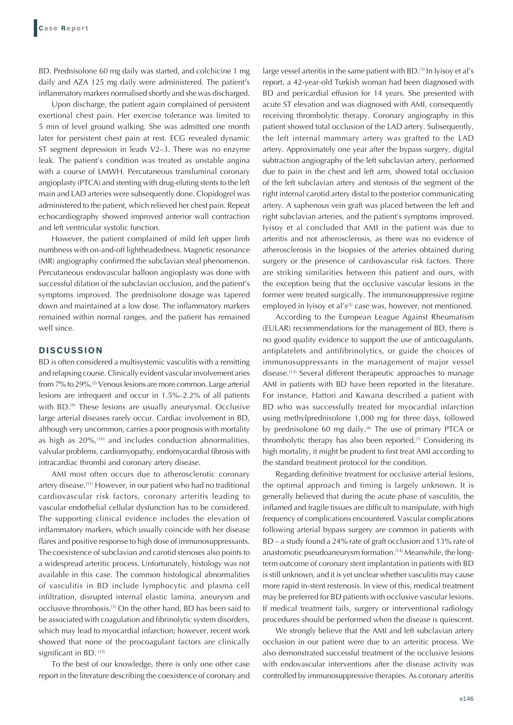BD. Prednisolone 60 mg daily was started, and colchicine 1 mg daily and AZA 125 mg daily were administered. The patient's inflammatory markers normalised shortly and she was discharged.

Upon discharge, the patient again complained of persistent exertional chest pain. Her exercise tolerance was limited to 5 min of level ground walking. She was admitted one month later for persistent chest pain at rest. ECG revealed dynamic ST segment depression in leads V2–3. There was no enzyme leak. The patient's condition was treated as unstable angina with a course of LMWH. Percutaneous transluminal coronary angioplasty (PTCA) and stenting with drug-eluting stents to the left main and LAD arteries were subsequently done. Clopidogrel was administered to the patient, which relieved her chest pain. Repeat echocardiography showed improved anterior wall contraction and left ventricular systolic function.

However, the patient complained of mild left upper limb numbness with on-and-off lightheadedness. Magnetic resonance (MR) angiography confirmed the subclavian steal phenomenon. Percutaneous endovascular balloon angioplasty was done with successful dilation of the subclavian occlusion, and the patient's symptoms improved. The prednisolone dosage was tapered down and maintained at a low dose. The inflammatory markers remained within normal ranges, and the patient has remained well since.

### **DISCUSSION**

BD is often considered a multisystemic vasculitis with a remitting and relapsing course. Clinically evident vascular involvement aries from 7% to 29%.<sup>(2)</sup> Venous lesions are more common. Large arterial lesions are infrequent and occur in 1.5%–2.2% of all patients with BD.<sup>(9)</sup> These lesions are usually aneurysmal. Occlusive large arterial diseases rarely occur. Cardiac involvement in BD, although very uncommon, carries a poor prognosis with mortality as high as 20%,(10) and includes conduction abnormalities, valvular problems, cardiomyopathy, endomyocardial fibrosis with intracardiac thrombi and coronary artery disease.

AMI most often occurs due to atherosclerotic coronary artery disease.(11) However, in our patient who had no traditional cardiovascular risk factors, coronary arteritis leading to vascular endothelial cellular dysfunction has to be considered. The supporting clinical evidence includes the elevation of inflammatory markers, which usually coincide with her disease flares and positive response to high dose of immunosuppressants. The coexistence of subclavian and carotid stenoses also points to a widespread arteritic process. Unfortunately, histology was not available in this case. The common histological abnormalities of vasculitis in BD include lymphocytic and plasma cell infiltration, disrupted internal elastic lamina, aneurysm and occlusive thrombosis.(3) On the other hand, BD has been said to be associated with coagulation and fibrinolytic system disorders, which may lead to myocardial infarction; however, recent work showed that none of the procoagulant factors are clinically significant in BD. (12)

To the best of our knowledge, there is only one other case report in the literature describing the coexistence of coronary and

large vessel arteritis in the same patient with BD.<sup>(3)</sup> In Iyisoy et al's report, a 42-year-old Turkish woman had been diagnosed with BD and pericardial effusion for 14 years. She presented with acute ST elevation and was diagnosed with AMI, consequently receiving thrombolytic therapy. Coronary angiography in this patient showed total occlusion of the LAD artery. Subsequently, the left internal mammary artery was grafted to the LAD artery. Approximately one year after the bypass surgery, digital subtraction angiography of the left subclavian artery, performed due to pain in the chest and left arm, showed total occlusion of the left subclavian artery and stenosis of the segment of the right internal carotid artery distal to the posterior communicating artery. A saphenous vein graft was placed between the left and right subclavian arteries, and the patient's symptoms improved. Iyisoy et al concluded that AMI in the patient was due to arteritis and not atherosclerosis, as there was no evidence of atherosclerosis in the biopsies of the arteries obtained during surgery or the presence of cardiovascular risk factors. There are striking similarities between this patient and ours, with the exception being that the occlusive vascular lesions in the former were treated surgically. The immunosuppressive regime employed in Iyisoy et al's<sup>(3)</sup> case was, however, not mentioned.

According to the European League Against Rheumatism (EULAR) recommendations for the management of BD, there is no good quality evidence to support the use of anticoagulants, antiplatelets and antifibrinolytics, or guide the choices of immunosuppressants in the management of major vessel disease.<sup>(13)</sup> Several different therapeutic approaches to manage AMI in patients with BD have been reported in the literature. For instance, Hattori and Kawana described a patient with BD who was successfully treated for myocardial infarction using methylprednisolone 1,000 mg for three days, followed by prednisolone 60 mg daily.<sup>(6)</sup> The use of primary PTCA or thrombolytic therapy has also been reported. $(7)$  Considering its high mortality, it might be prudent to first treat AMI according to the standard treatment protocol for the condition.

Regarding definitive treatment for occlusive arterial lesions, the optimal approach and timing is largely unknown. It is generally believed that during the acute phase of vasculitis, the inflamed and fragile tissues are difficult to manipulate, with high frequency of complications encountered. Vascular complications following arterial bypass surgery are common in patients with BD – a study found a 24% rate of graft occlusion and 13% rate of anastomotic pseudoaneurysm formation.<sup>(14)</sup> Meanwhile, the longterm outcome of coronary stent implantation in patients with BD is still unknown, and it is yet unclear whether vasculitis may cause more rapid in-stent restenosis. In view of this, medical treatment may be preferred for BD patients with occlusive vascular lesions. If medical treatment fails, surgery or interventional radiology procedures should be performed when the disease is quiescent.

We strongly believe that the AMI and left subclavian artery occlusion in our patient were due to an arteritic process. We also demonstrated successful treatment of the occlusive lesions with endovascular interventions after the disease activity was controlled by immunosuppressive therapies. As coronary arteritis